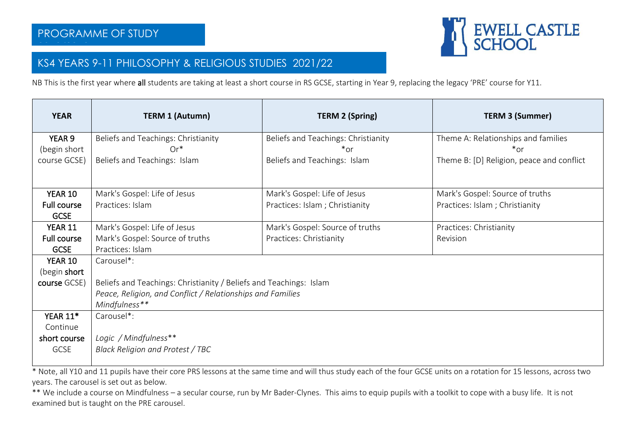

## KS4 YEARS 9-11 PHILOSOPHY & RELIGIOUS STUDIES 2021/22

NB This is the first year where all students are taking at least a short course in RS GCSE, starting in Year 9, replacing the legacy 'PRE' course for Y11.

| <b>YEAR</b>        | <b>TERM 1 (Autumn)</b>                                             | <b>TERM 2 (Spring)</b>              | <b>TERM 3 (Summer)</b>                    |  |  |  |
|--------------------|--------------------------------------------------------------------|-------------------------------------|-------------------------------------------|--|--|--|
| YEAR 9             | Beliefs and Teachings: Christianity                                | Beliefs and Teachings: Christianity | Theme A: Relationships and families       |  |  |  |
| (begin short       | $Or^*$                                                             | *or                                 | $*$ or                                    |  |  |  |
| course GCSE)       | Beliefs and Teachings: Islam                                       | Beliefs and Teachings: Islam        | Theme B: [D] Religion, peace and conflict |  |  |  |
|                    |                                                                    |                                     |                                           |  |  |  |
| YEAR 10            | Mark's Gospel: Life of Jesus                                       | Mark's Gospel: Life of Jesus        | Mark's Gospel: Source of truths           |  |  |  |
| <b>Full course</b> | Practices: Islam                                                   | Practices: Islam ; Christianity     | Practices: Islam ; Christianity           |  |  |  |
| <b>GCSE</b>        |                                                                    |                                     |                                           |  |  |  |
| <b>YEAR 11</b>     | Mark's Gospel: Life of Jesus                                       | Mark's Gospel: Source of truths     | Practices: Christianity                   |  |  |  |
| <b>Full course</b> | Mark's Gospel: Source of truths                                    | Practices: Christianity             | Revision                                  |  |  |  |
| <b>GCSE</b>        | Practices: Islam                                                   |                                     |                                           |  |  |  |
| YEAR 10            | Carousel*:                                                         |                                     |                                           |  |  |  |
| (begin short       |                                                                    |                                     |                                           |  |  |  |
| course GCSE)       | Beliefs and Teachings: Christianity / Beliefs and Teachings: Islam |                                     |                                           |  |  |  |
|                    | Peace, Religion, and Conflict / Relationships and Families         |                                     |                                           |  |  |  |
|                    | Mindfulness**                                                      |                                     |                                           |  |  |  |
| <b>YEAR 11*</b>    | Carousel*:                                                         |                                     |                                           |  |  |  |
| Continue           |                                                                    |                                     |                                           |  |  |  |
| short course       | Logic / Mindfulness**                                              |                                     |                                           |  |  |  |
| <b>GCSE</b>        | Black Religion and Protest / TBC                                   |                                     |                                           |  |  |  |

\* Note, all Y10 and 11 pupils have their core PRS lessons at the same time and will thus study each of the four GCSE units on a rotation for 15 lessons, across two years. The carousel is set out as below.

\*\* We include a course on Mindfulness – a secular course, run by Mr Bader-Clynes. This aims to equip pupils with a toolkit to cope with a busy life. It is not examined but is taught on the PRE carousel.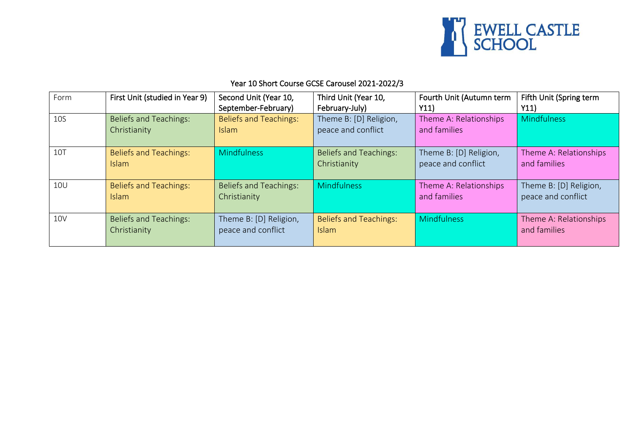

## Year 10 Short Course GCSE Carousel 2021-2022/3

| Form       | First Unit (studied in Year 9)                | Second Unit (Year 10,                         | Third Unit (Year 10,                          | Fourth Unit (Autumn term                     | Fifth Unit (Spring term                      |
|------------|-----------------------------------------------|-----------------------------------------------|-----------------------------------------------|----------------------------------------------|----------------------------------------------|
|            |                                               | September-February)                           | February-July)                                | Y11)                                         | Y11)                                         |
| <b>10S</b> | <b>Beliefs and Teachings:</b><br>Christianity | <b>Beliefs and Teachings:</b><br><b>Islam</b> | Theme B: [D] Religion,<br>peace and conflict  | Theme A: Relationships<br>and families       | <b>Mindfulness</b>                           |
| <b>10T</b> | <b>Beliefs and Teachings:</b><br><b>Islam</b> | <b>Mindfulness</b>                            | <b>Beliefs and Teachings:</b><br>Christianity | Theme B: [D] Religion,<br>peace and conflict | Theme A: Relationships<br>and families       |
| <b>10U</b> | <b>Beliefs and Teachings:</b><br><b>Islam</b> | <b>Beliefs and Teachings:</b><br>Christianity | <b>Mindfulness</b>                            | Theme A: Relationships<br>and families       | Theme B: [D] Religion,<br>peace and conflict |
| <b>10V</b> | <b>Beliefs and Teachings:</b><br>Christianity | Theme B: [D] Religion,<br>peace and conflict  | <b>Beliefs and Teachings:</b><br>Islam        | Mindfulness                                  | Theme A: Relationships<br>and families       |